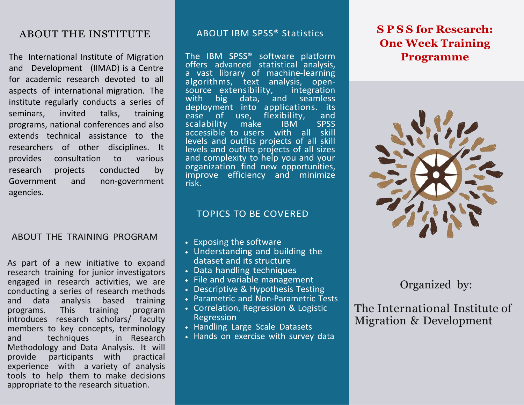### ABOUT THE INSTITUTE

The International Institute of Migration and Development (IIMAD) is a Centre for academic research devoted to all aspects of international migration. The institute regularly conducts a series of seminars, invited talks, training programs, national conferences and also extends technical assistance to the researchers of other disciplines. It provides consultation to various research projects conducted by Government and non-government agencies.

#### ABOUT THE TRAINING PROGRAM

As part of a new initiative to expand research training for junior investigators engaged in research activities, we are conducting a series of research methods and data analysis based training programs. This training program introduces research scholars/ faculty members to key concepts, terminology<br>and techniques in Research and techniques in Research Methodology and Data Analysis. It will<br>provide participants with practical participants with experience with a variety of analysis tools to help them to make decisions appropriate to the research situation.

#### ABOUT IBM SPSS® Statistics

The IBM SPSS® software platform offers advanced statistical analysis, a vast library of machine-learning algorithms, text analysis, open-<br>source extensibility, integration source extensibility,<br>with big data, a with big data, and seamless deployment into applications. its<br>ease of use, flexibility, and flexibility, and<br>IBM SPSS scalability make IBM accessible to users with all skill levels and outfits projects of all skill levels and outfits projects of all sizes and complexity to help you and your organization find new opportunities, improve efficiency and minimize risk.

#### TOPICS TO BE COVERED

- Exposing the software
- Understanding and building the dataset and its structure
- Data handling techniques
- File and variable management
- Descriptive & Hypothesis Testing
- Parametric and Non-Parametric Tests
- Correlation, Regression & Logistic Regression
- Handling Large Scale Datasets
- Hands on exercise with survey data

# **S P S S for Research: One Week Training Programme**



Organized by:

The International Institute of Migration & Development